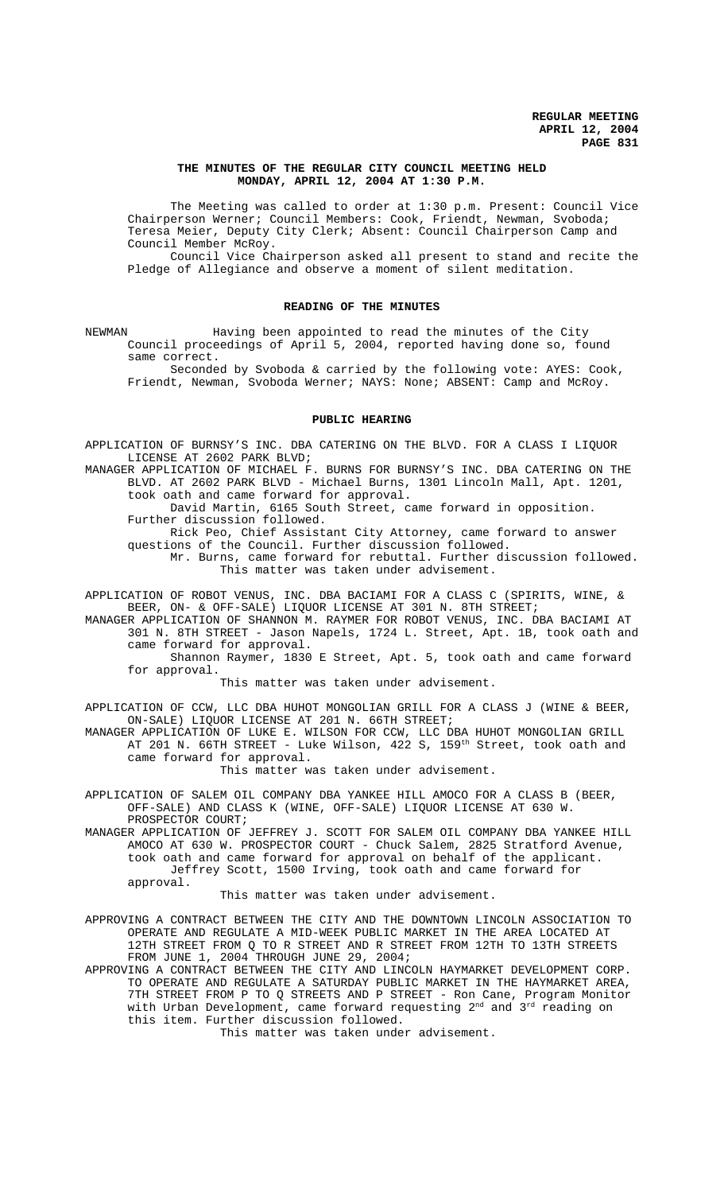## **THE MINUTES OF THE REGULAR CITY COUNCIL MEETING HELD MONDAY, APRIL 12, 2004 AT 1:30 P.M.**

The Meeting was called to order at 1:30 p.m. Present: Council Vice Chairperson Werner; Council Members: Cook, Friendt, Newman, Svoboda; Teresa Meier, Deputy City Clerk; Absent: Council Chairperson Camp and Council Member McRoy.

Council Vice Chairperson asked all present to stand and recite the Pledge of Allegiance and observe a moment of silent meditation.

## **READING OF THE MINUTES**

NEWMAN Having been appointed to read the minutes of the City Council proceedings of April 5, 2004, reported having done so, found same correct.

Seconded by Svoboda & carried by the following vote: AYES: Cook, Friendt, Newman, Svoboda Werner; NAYS: None; ABSENT: Camp and McRoy.

#### **PUBLIC HEARING**

APPLICATION OF BURNSY'S INC. DBA CATERING ON THE BLVD. FOR A CLASS I LIQUOR LICENSE AT 2602 PARK BLVD;

MANAGER APPLICATION OF MICHAEL F. BURNS FOR BURNSY'S INC. DBA CATERING ON THE BLVD. AT 2602 PARK BLVD - Michael Burns, 1301 Lincoln Mall, Apt. 1201, took oath and came forward for approval.

David Martin, 6165 South Street, came forward in opposition. Further discussion followed.

Rick Peo, Chief Assistant City Attorney, came forward to answer questions of the Council. Further discussion followed.

Mr. Burns, came forward for rebuttal. Further discussion followed. This matter was taken under advisement.

APPLICATION OF ROBOT VENUS, INC. DBA BACIAMI FOR A CLASS C (SPIRITS, WINE, & BEER, ON- & OFF-SALE) LIQUOR LICENSE AT 301 N. 8TH STREET;

MANAGER APPLICATION OF SHANNON M. RAYMER FOR ROBOT VENUS, INC. DBA BACIAMI AT 301 N. 8TH STREET - Jason Napels, 1724 L. Street, Apt. 1B, took oath and came forward for approval.

Shannon Raymer, 1830 E Street, Apt. 5, took oath and came forward for approval.

This matter was taken under advisement.

APPLICATION OF CCW, LLC DBA HUHOT MONGOLIAN GRILL FOR A CLASS J (WINE & BEER, ON-SALE) LIQUOR LICENSE AT 201 N. 66TH STREET;

MANAGER APPLICATION OF LUKE E. WILSON FOR CCW, LLC DBA HUHOT MONGOLIAN GRILL AT 201 N. 66TH STREET - Luke Wilson, 422 S, 159<sup>th</sup> Street, took oath and came forward for approval.

This matter was taken under advisement.

APPLICATION OF SALEM OIL COMPANY DBA YANKEE HILL AMOCO FOR A CLASS B (BEER, OFF-SALE) AND CLASS K (WINE, OFF-SALE) LIQUOR LICENSE AT 630 W. PROSPECTOR COURT;

MANAGER APPLICATION OF JEFFREY J. SCOTT FOR SALEM OIL COMPANY DBA YANKEE HILL AMOCO AT 630 W. PROSPECTOR COURT - Chuck Salem, 2825 Stratford Avenue, took oath and came forward for approval on behalf of the applicant. Jeffrey Scott, 1500 Irving, took oath and came forward for approval.

This matter was taken under advisement.

APPROVING A CONTRACT BETWEEN THE CITY AND THE DOWNTOWN LINCOLN ASSOCIATION TO OPERATE AND REGULATE A MID-WEEK PUBLIC MARKET IN THE AREA LOCATED AT 12TH STREET FROM Q TO R STREET AND R STREET FROM 12TH TO 13TH STREETS FROM JUNE 1, 2004 THROUGH JUNE 29, 2004;

APPROVING A CONTRACT BETWEEN THE CITY AND LINCOLN HAYMARKET DEVELOPMENT CORP. TO OPERATE AND REGULATE A SATURDAY PUBLIC MARKET IN THE HAYMARKET AREA, 7TH STREET FROM P TO Q STREETS AND P STREET - Ron Cane, Program Monitor with Urban Development, came forward requesting  $2^{\text{nd}}$  and  $3^{\text{rd}}$  reading on this item. Further discussion followed.

This matter was taken under advisement.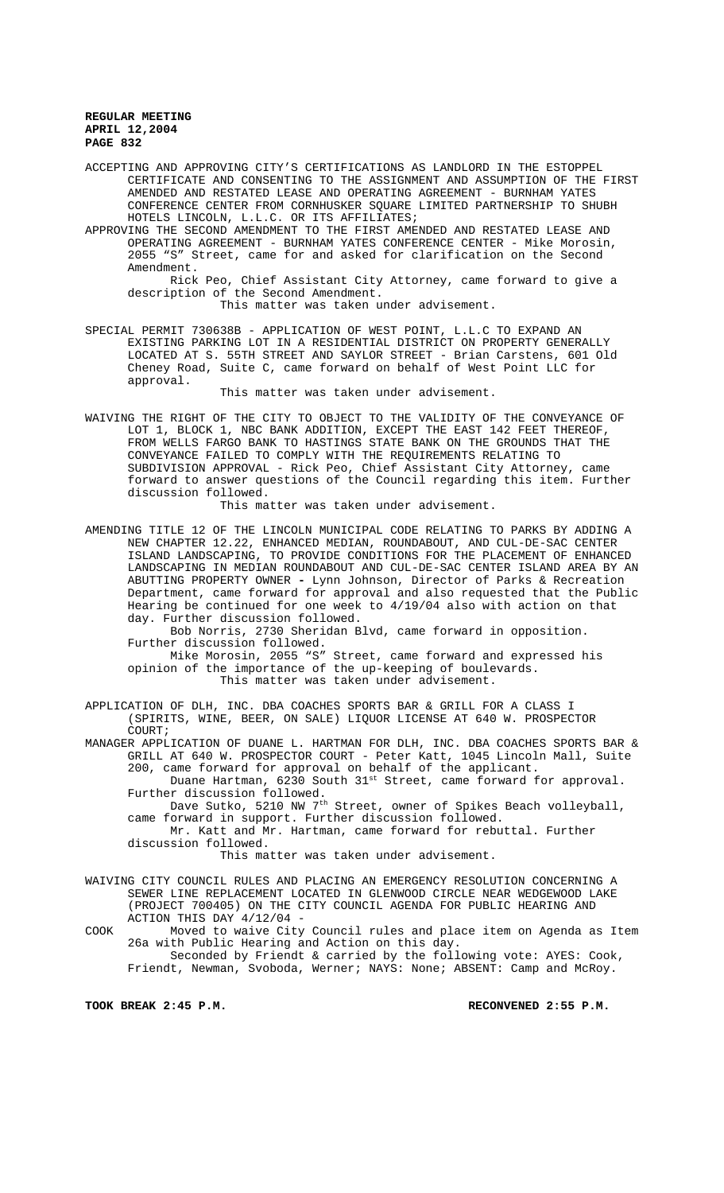ACCEPTING AND APPROVING CITY'S CERTIFICATIONS AS LANDLORD IN THE ESTOPPEL CERTIFICATE AND CONSENTING TO THE ASSIGNMENT AND ASSUMPTION OF THE FIRST AMENDED AND RESTATED LEASE AND OPERATING AGREEMENT - BURNHAM YATES CONFERENCE CENTER FROM CORNHUSKER SQUARE LIMITED PARTNERSHIP TO SHUBH HOTELS LINCOLN, L.L.C. OR ITS AFFILIATES;

APPROVING THE SECOND AMENDMENT TO THE FIRST AMENDED AND RESTATED LEASE AND OPERATING AGREEMENT - BURNHAM YATES CONFERENCE CENTER - Mike Morosin, 2055 "S" Street, came for and asked for clarification on the Second Amendment.

Rick Peo, Chief Assistant City Attorney, came forward to give a description of the Second Amendment.

This matter was taken under advisement.

SPECIAL PERMIT 730638B - APPLICATION OF WEST POINT, L.L.C TO EXPAND AN EXISTING PARKING LOT IN A RESIDENTIAL DISTRICT ON PROPERTY GENERALLY LOCATED AT S. 55TH STREET AND SAYLOR STREET - Brian Carstens, 601 Old Cheney Road, Suite C, came forward on behalf of West Point LLC for approval.

This matter was taken under advisement.

WAIVING THE RIGHT OF THE CITY TO OBJECT TO THE VALIDITY OF THE CONVEYANCE OF LOT 1, BLOCK 1, NBC BANK ADDITION, EXCEPT THE EAST 142 FEET THEREOF, FROM WELLS FARGO BANK TO HASTINGS STATE BANK ON THE GROUNDS THAT THE CONVEYANCE FAILED TO COMPLY WITH THE REQUIREMENTS RELATING TO SUBDIVISION APPROVAL - Rick Peo, Chief Assistant City Attorney, came forward to answer questions of the Council regarding this item. Further discussion followed.

This matter was taken under advisement.

AMENDING TITLE 12 OF THE LINCOLN MUNICIPAL CODE RELATING TO PARKS BY ADDING A NEW CHAPTER 12.22, ENHANCED MEDIAN, ROUNDABOUT, AND CUL-DE-SAC CENTER ISLAND LANDSCAPING, TO PROVIDE CONDITIONS FOR THE PLACEMENT OF ENHANCED LANDSCAPING IN MEDIAN ROUNDABOUT AND CUL-DE-SAC CENTER ISLAND AREA BY AN ABUTTING PROPERTY OWNER **-** Lynn Johnson, Director of Parks & Recreation Department, came forward for approval and also requested that the Public Hearing be continued for one week to 4/19/04 also with action on that day. Further discussion followed.

 Bob Norris, 2730 Sheridan Blvd, came forward in opposition. Further discussion followed.

Mike Morosin, 2055 "S" Street, came forward and expressed his opinion of the importance of the up-keeping of boulevards. This matter was taken under advisement.

APPLICATION OF DLH, INC. DBA COACHES SPORTS BAR & GRILL FOR A CLASS I (SPIRITS, WINE, BEER, ON SALE) LIQUOR LICENSE AT 640 W. PROSPECTOR COURT;

MANAGER APPLICATION OF DUANE L. HARTMAN FOR DLH, INC. DBA COACHES SPORTS BAR & GRILL AT 640 W. PROSPECTOR COURT - Peter Katt, 1045 Lincoln Mall, Suite 200, came forward for approval on behalf of the applicant.

Duane Hartman, 6230 South 31<sup>st</sup> Street, came forward for approval. Further discussion followed.

- Dave Sutko, 5210 NW 7<sup>th</sup> Street, owner of Spikes Beach volleyball, came forward in support. Further discussion followed.
- Mr. Katt and Mr. Hartman, came forward for rebuttal. Further discussion followed.

This matter was taken under advisement.

WAIVING CITY COUNCIL RULES AND PLACING AN EMERGENCY RESOLUTION CONCERNING A SEWER LINE REPLACEMENT LOCATED IN GLENWOOD CIRCLE NEAR WEDGEWOOD LAKE (PROJECT 700405) ON THE CITY COUNCIL AGENDA FOR PUBLIC HEARING AND ACTION THIS DAY 4/12/04 -

COOK Moved to waive City Council rules and place item on Agenda as Item 26a with Public Hearing and Action on this day. Seconded by Friendt & carried by the following vote: AYES: Cook, Friendt, Newman, Svoboda, Werner; NAYS: None; ABSENT: Camp and McRoy.

**TOOK BREAK 2:45 P.M. RECONVENED 2:55 P.M.**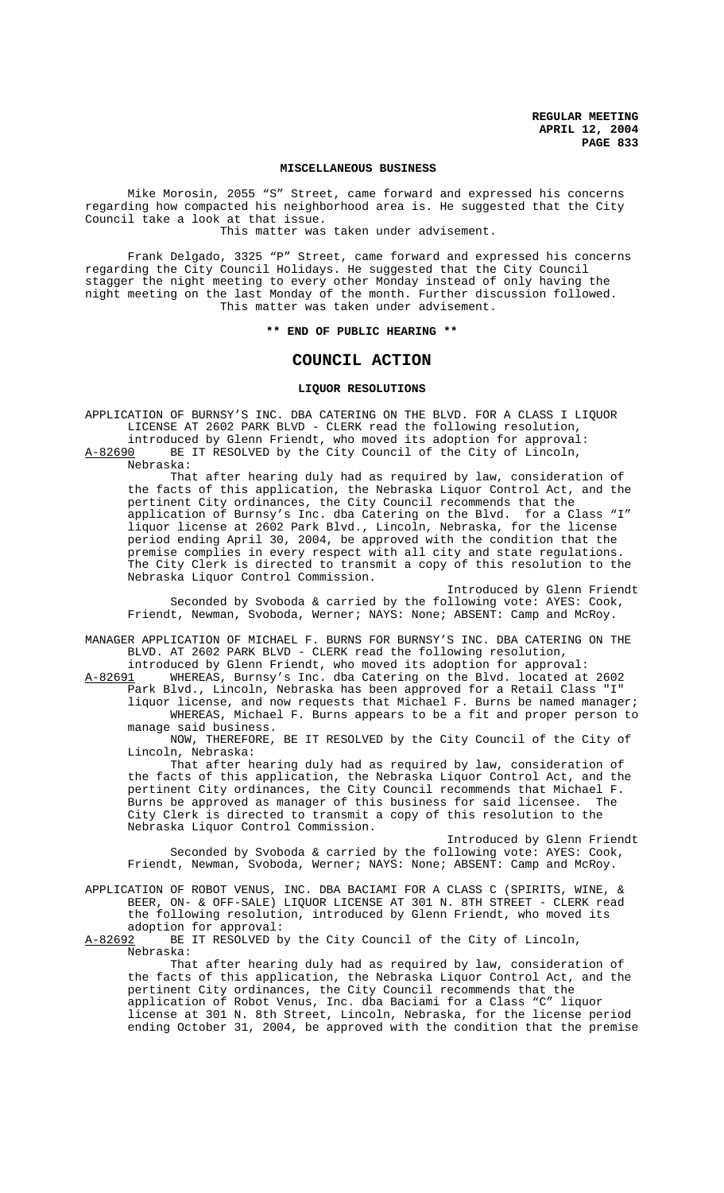## **MISCELLANEOUS BUSINESS**

Mike Morosin, 2055 "S" Street, came forward and expressed his concerns regarding how compacted his neighborhood area is. He suggested that the City Council take a look at that issue.

This matter was taken under advisement.

Frank Delgado, 3325 "P" Street, came forward and expressed his concerns regarding the City Council Holidays. He suggested that the City Council stagger the night meeting to every other Monday instead of only having the night meeting on the last Monday of the month. Further discussion followed. This matter was taken under advisement.

**\*\* END OF PUBLIC HEARING \*\***

# **COUNCIL ACTION**

# **LIQUOR RESOLUTIONS**

APPLICATION OF BURNSY'S INC. DBA CATERING ON THE BLVD. FOR A CLASS I LIQUOR LICENSE AT 2602 PARK BLVD - CLERK read the following resolution, introduced by Glenn Friendt, who moved its adoption for approval: A-82690 BE IT RESOLVED by the City Council of the City of Lincoln,

Nebraska:

That after hearing duly had as required by law, consideration of the facts of this application, the Nebraska Liquor Control Act, and the pertinent City ordinances, the City Council recommends that the application of Burnsy's Inc. dba Catering on the Blvd. for a Class "I" liquor license at 2602 Park Blvd., Lincoln, Nebraska, for the license period ending April 30, 2004, be approved with the condition that the premise complies in every respect with all city and state regulations. The City Clerk is directed to transmit a copy of this resolution to the Nebraska Liquor Control Commission.

Introduced by Glenn Friendt Seconded by Svoboda & carried by the following vote: AYES: Cook, Friendt, Newman, Svoboda, Werner; NAYS: None; ABSENT: Camp and McRoy.

MANAGER APPLICATION OF MICHAEL F. BURNS FOR BURNSY'S INC. DBA CATERING ON THE BLVD. AT 2602 PARK BLVD - CLERK read the following resolution,

introduced by Glenn Friendt, who moved its adoption for approval:<br>A-82691 WHEREAS, Burnsy's Inc. dba Catering on the Blvd. located at WHEREAS, Burnsy's Inc. dba Catering on the Blvd. located at 2602 Park Blvd., Lincoln, Nebraska has been approved for a Retail Class "I"

liquor license, and now requests that Michael F. Burns be named manager; WHEREAS, Michael F. Burns appears to be a fit and proper person to manage said business.

NOW, THEREFORE, BE IT RESOLVED by the City Council of the City of Lincoln, Nebraska:

That after hearing duly had as required by law, consideration of the facts of this application, the Nebraska Liquor Control Act, and the pertinent City ordinances, the City Council recommends that Michael F. Burns be approved as manager of this business for said licensee. The City Clerk is directed to transmit a copy of this resolution to the Nebraska Liquor Control Commission.

Introduced by Glenn Friendt Seconded by Svoboda & carried by the following vote: AYES: Cook, Friendt, Newman, Svoboda, Werner; NAYS: None; ABSENT: Camp and McRoy.

APPLICATION OF ROBOT VENUS, INC. DBA BACIAMI FOR A CLASS C (SPIRITS, WINE, & BEER, ON- & OFF-SALE) LIQUOR LICENSE AT 301 N. 8TH STREET - CLERK read the following resolution, introduced by Glenn Friendt, who moved its

adoption for approval:<br>A-82692 BE IT RESOLVED by BE IT RESOLVED by the City Council of the City of Lincoln, Nebraska:

That after hearing duly had as required by law, consideration of the facts of this application, the Nebraska Liquor Control Act, and the pertinent City ordinances, the City Council recommends that the application of Robot Venus, Inc. dba Baciami for a Class "C" liquor license at 301 N. 8th Street, Lincoln, Nebraska, for the license period ending October 31, 2004, be approved with the condition that the premise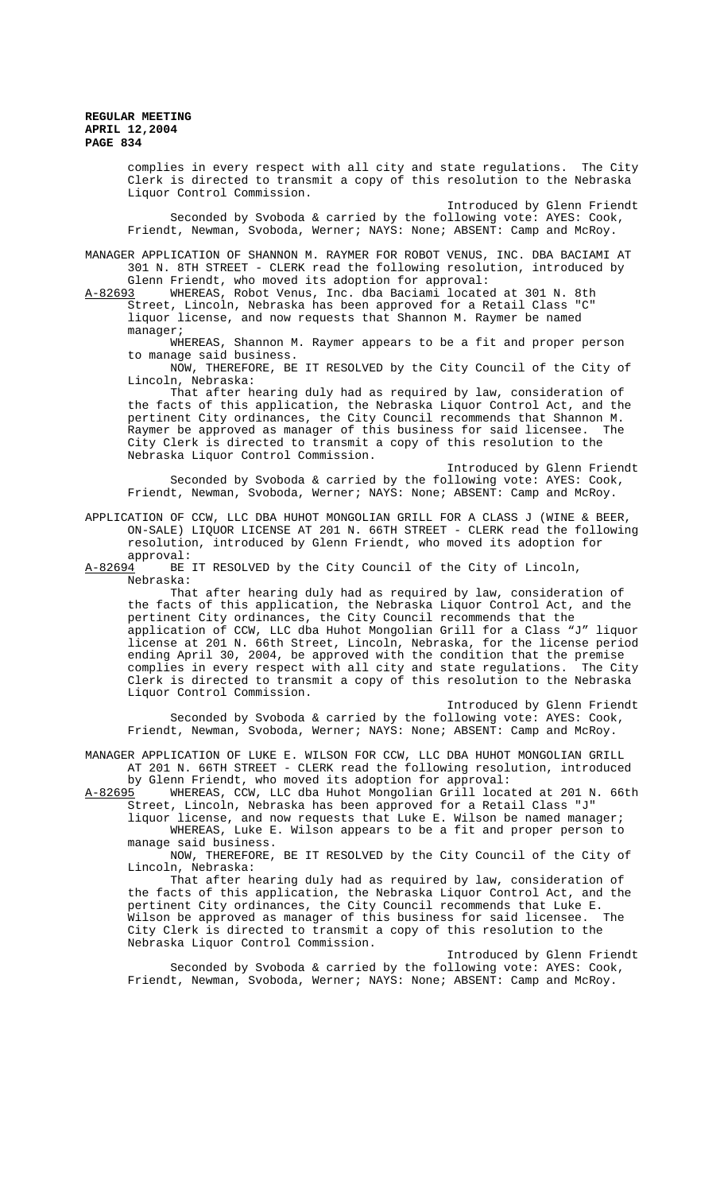> complies in every respect with all city and state regulations. The City Clerk is directed to transmit a copy of this resolution to the Nebraska Liquor Control Commission. Introduced by Glenn Friendt Seconded by Svoboda & carried by the following vote: AYES: Cook, Friendt, Newman, Svoboda, Werner; NAYS: None; ABSENT: Camp and McRoy.

MANAGER APPLICATION OF SHANNON M. RAYMER FOR ROBOT VENUS, INC. DBA BACIAMI AT 301 N. 8TH STREET - CLERK read the following resolution, introduced by

Glenn Friendt, who moved its adoption for approval:<br>A-82693 WHEREAS, Robot Venus, Inc. dba Baciami locate WHEREAS, Robot Venus, Inc. dba Baciami located at 301 N. 8th Street, Lincoln, Nebraska has been approved for a Retail Class "C" liquor license, and now requests that Shannon M. Raymer be named manager;

WHEREAS, Shannon M. Raymer appears to be a fit and proper person to manage said business.

NOW, THEREFORE, BE IT RESOLVED by the City Council of the City of Lincoln, Nebraska:

That after hearing duly had as required by law, consideration of the facts of this application, the Nebraska Liquor Control Act, and the pertinent City ordinances, the City Council recommends that Shannon M. Raymer be approved as manager of this business for said licensee. The City Clerk is directed to transmit a copy of this resolution to the Nebraska Liquor Control Commission.

Introduced by Glenn Friendt Seconded by Svoboda & carried by the following vote: AYES: Cook, Friendt, Newman, Svoboda, Werner; NAYS: None; ABSENT: Camp and McRoy.

APPLICATION OF CCW, LLC DBA HUHOT MONGOLIAN GRILL FOR A CLASS J (WINE & BEER, ON-SALE) LIQUOR LICENSE AT 201 N. 66TH STREET - CLERK read the following resolution, introduced by Glenn Friendt, who moved its adoption for

approval:<br>A-82694 BE BE IT RESOLVED by the City Council of the City of Lincoln, Nebraska:

That after hearing duly had as required by law, consideration of the facts of this application, the Nebraska Liquor Control Act, and the pertinent City ordinances, the City Council recommends that the application of CCW, LLC dba Huhot Mongolian Grill for a Class "J" liquor license at 201 N. 66th Street, Lincoln, Nebraska, for the license period ending April 30, 2004, be approved with the condition that the premise complies in every respect with all city and state regulations. The City Clerk is directed to transmit a copy of this resolution to the Nebraska Liquor Control Commission.

Introduced by Glenn Friendt Seconded by Svoboda & carried by the following vote: AYES: Cook, Friendt, Newman, Svoboda, Werner; NAYS: None; ABSENT: Camp and McRoy.

MANAGER APPLICATION OF LUKE E. WILSON FOR CCW, LLC DBA HUHOT MONGOLIAN GRILL AT 201 N. 66TH STREET - CLERK read the following resolution, introduced

by Glenn Friendt, who moved its adoption for approval:<br>A-82695 WHEREAS, CCW, LLC dba Huhot Mongolian Grill locat WHEREAS, CCW, LLC dba Huhot Mongolian Grill located at 201 N. 66th Street, Lincoln, Nebraska has been approved for a Retail Class "J"

liquor license, and now requests that Luke E. Wilson be named manager; WHEREAS, Luke E. Wilson appears to be a fit and proper person to manage said business.

NOW, THEREFORE, BE IT RESOLVED by the City Council of the City of Lincoln, Nebraska:

That after hearing duly had as required by law, consideration of the facts of this application, the Nebraska Liquor Control Act, and the pertinent City ordinances, the City Council recommends that Luke E.<br>Wilson be approved as manager of this business for said licensee. The Wilson be approved as manager of this business for said licensee. City Clerk is directed to transmit a copy of this resolution to the Nebraska Liquor Control Commission.

Introduced by Glenn Friendt Seconded by Svoboda & carried by the following vote: AYES: Cook, Friendt, Newman, Svoboda, Werner; NAYS: None; ABSENT: Camp and McRoy.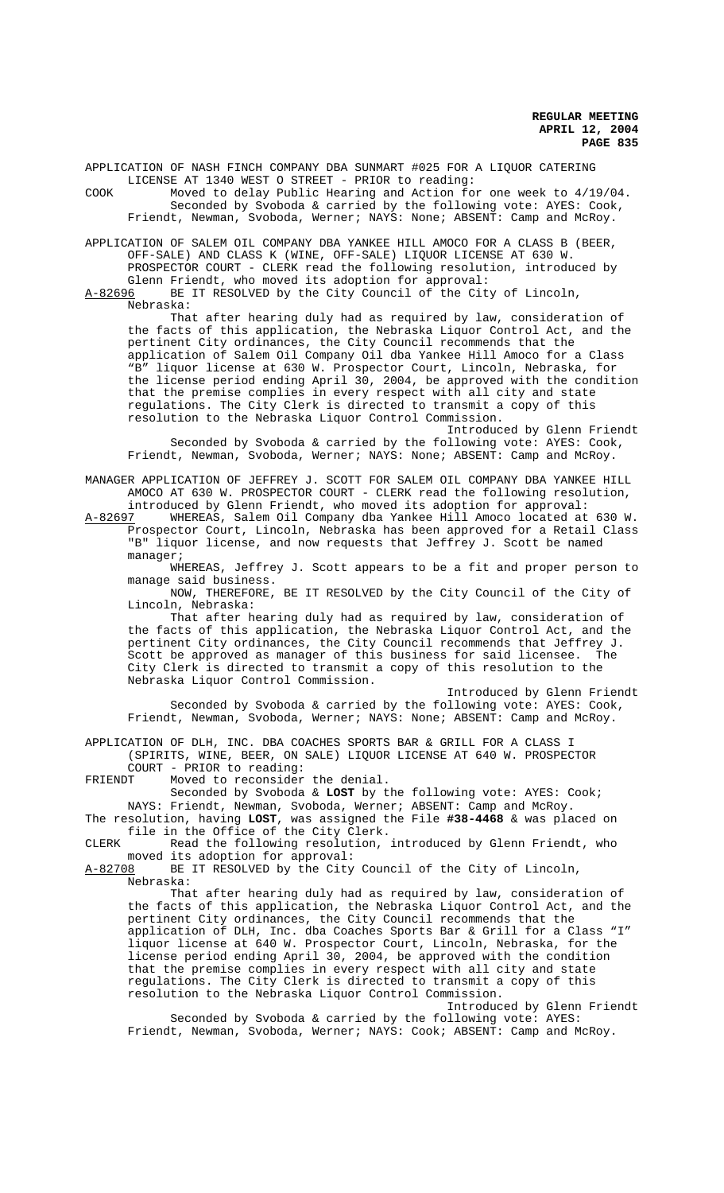APPLICATION OF NASH FINCH COMPANY DBA SUNMART #025 FOR A LIQUOR CATERING LICENSE AT 1340 WEST O STREET - PRIOR to reading: COOK Moved to delay Public Hearing and Action for one week to 4/19/04.

Seconded by Svoboda & carried by the following vote: AYES: Cook, Friendt, Newman, Svoboda, Werner; NAYS: None; ABSENT: Camp and McRoy.

APPLICATION OF SALEM OIL COMPANY DBA YANKEE HILL AMOCO FOR A CLASS B (BEER, OFF-SALE) AND CLASS K (WINE, OFF-SALE) LIQUOR LICENSE AT 630 W. PROSPECTOR COURT - CLERK read the following resolution, introduced by

Glenn Friendt, who moved its adoption for approval:<br>A-82696 BE IT RESOLVED by the City Council of the Cit BE IT RESOLVED by the City Council of the City of Lincoln, Nebraska:

That after hearing duly had as required by law, consideration of the facts of this application, the Nebraska Liquor Control Act, and the pertinent City ordinances, the City Council recommends that the application of Salem Oil Company Oil dba Yankee Hill Amoco for a Class "B" liquor license at 630 W. Prospector Court, Lincoln, Nebraska, for the license period ending April 30, 2004, be approved with the condition that the premise complies in every respect with all city and state regulations. The City Clerk is directed to transmit a copy of this resolution to the Nebraska Liquor Control Commission.

Introduced by Glenn Friendt Seconded by Svoboda & carried by the following vote: AYES: Cook, Friendt, Newman, Svoboda, Werner; NAYS: None; ABSENT: Camp and McRoy.

MANAGER APPLICATION OF JEFFREY J. SCOTT FOR SALEM OIL COMPANY DBA YANKEE HILL AMOCO AT 630 W. PROSPECTOR COURT - CLERK read the following resolution,

introduced by Glenn Friendt, who moved its adoption for approval:<br>A-82697 WHEREAS, Salem Oil Company dba Yankee Hill Amoco located at WHEREAS, Salem Oil Company dba Yankee Hill Amoco located at 630 W. Prospector Court, Lincoln, Nebraska has been approved for a Retail Class "B" liquor license, and now requests that Jeffrey J. Scott be named manager;

WHEREAS, Jeffrey J. Scott appears to be a fit and proper person to manage said business.

NOW, THEREFORE, BE IT RESOLVED by the City Council of the City of Lincoln, Nebraska:

That after hearing duly had as required by law, consideration of the facts of this application, the Nebraska Liquor Control Act, and the pertinent City ordinances, the City Council recommends that Jeffrey J. Scott be approved as manager of this business for said licensee. The City Clerk is directed to transmit a copy of this resolution to the Nebraska Liquor Control Commission.

Introduced by Glenn Friendt Seconded by Svoboda & carried by the following vote: AYES: Cook, Friendt, Newman, Svoboda, Werner; NAYS: None; ABSENT: Camp and McRoy.

APPLICATION OF DLH, INC. DBA COACHES SPORTS BAR & GRILL FOR A CLASS I (SPIRITS, WINE, BEER, ON SALE) LIQUOR LICENSE AT 640 W. PROSPECTOR

COURT - PRIOR to reading:<br>FRIENDT Moved to reconsider Moved to reconsider the denial.

Seconded by Svoboda & **LOST** by the following vote: AYES: Cook; NAYS: Friendt, Newman, Svoboda, Werner; ABSENT: Camp and McRoy.

The resolution, having **LOST**, was assigned the File **#38-4468** & was placed on file in the Office of the City Clerk.

CLERK Read the following resolution, introduced by Glenn Friendt, who moved its adoption for approval:<br>A-82708 BE IT RESOLVED by the City

BE IT RESOLVED by the City Council of the City of Lincoln, Nebraska:

That after hearing duly had as required by law, consideration of the facts of this application, the Nebraska Liquor Control Act, and the pertinent City ordinances, the City Council recommends that the application of DLH, Inc. dba Coaches Sports Bar & Grill for a Class "I" liquor license at 640 W. Prospector Court, Lincoln, Nebraska, for the license period ending April 30, 2004, be approved with the condition that the premise complies in every respect with all city and state regulations. The City Clerk is directed to transmit a copy of this resolution to the Nebraska Liquor Control Commission.

Introduced by Glenn Friendt Seconded by Svoboda & carried by the following vote: AYES:

Friendt, Newman, Svoboda, Werner; NAYS: Cook; ABSENT: Camp and McRoy.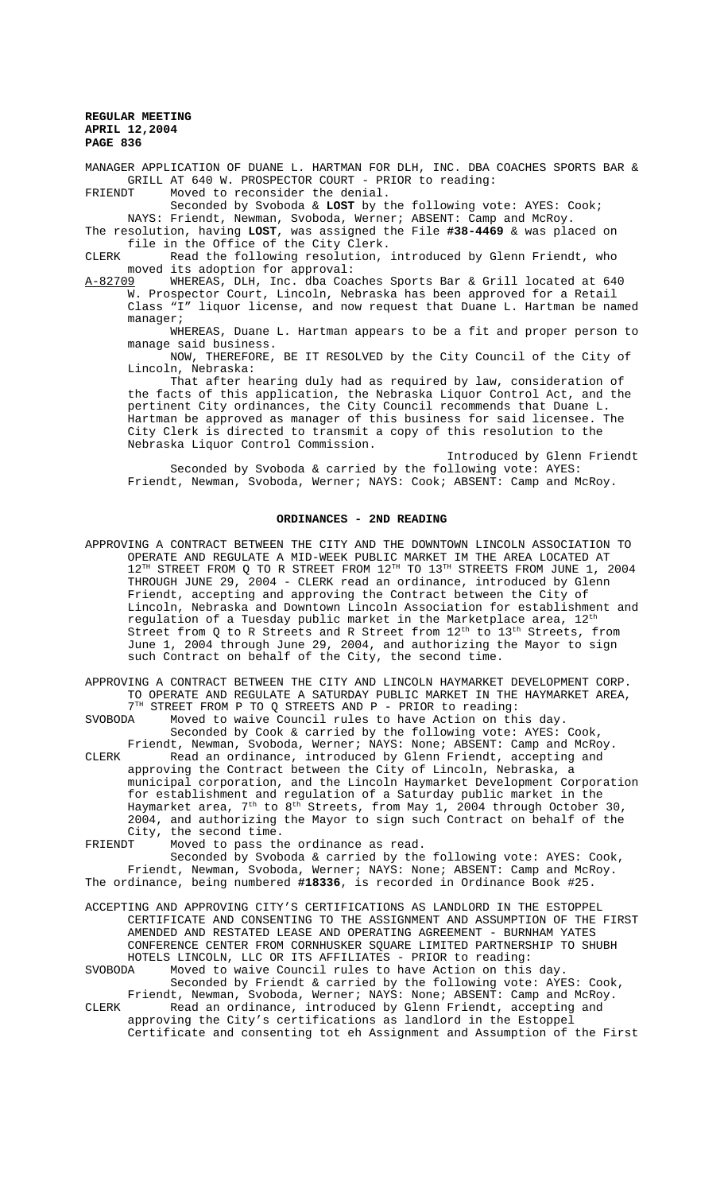MANAGER APPLICATION OF DUANE L. HARTMAN FOR DLH, INC. DBA COACHES SPORTS BAR & GRILL AT 640 W. PROSPECTOR COURT - PRIOR to reading: FRIENDT Moved to reconsider the denial.

Seconded by Svoboda & **LOST** by the following vote: AYES: Cook; NAYS: Friendt, Newman, Svoboda, Werner; ABSENT: Camp and McRoy.

The resolution, having **LOST**, was assigned the File **#38-4469** & was placed on file in the Office of the City Clerk.

CLERK Read the following resolution, introduced by Glenn Friendt, who moved its adoption for approval:<br>09 MHEREAS, DLH, Inc. dba Coaches Sports Bar & Grill located at 640

A-82709 WHEREAS, DLH, Inc. dba Coaches Sports Bar & Grill located at 640 W. Prospector Court, Lincoln, Nebraska has been approved for a Retail Class "I" liquor license, and now request that Duane L. Hartman be named manager;

WHEREAS, Duane L. Hartman appears to be a fit and proper person to manage said business.

NOW, THEREFORE, BE IT RESOLVED by the City Council of the City of Lincoln, Nebraska:

That after hearing duly had as required by law, consideration of the facts of this application, the Nebraska Liquor Control Act, and the pertinent City ordinances, the City Council recommends that Duane L. Hartman be approved as manager of this business for said licensee. The City Clerk is directed to transmit a copy of this resolution to the Nebraska Liquor Control Commission.

Introduced by Glenn Friendt

Seconded by Svoboda & carried by the following vote: AYES: Friendt, Newman, Svoboda, Werner; NAYS: Cook; ABSENT: Camp and McRoy.

### **ORDINANCES - 2ND READING**

- APPROVING A CONTRACT BETWEEN THE CITY AND THE DOWNTOWN LINCOLN ASSOCIATION TO OPERATE AND REGULATE A MID-WEEK PUBLIC MARKET IM THE AREA LOCATED AT  $12^{TH}$  STREET FROM Q TO R STREET FROM  $12^{TH}$  TO  $13^{TH}$  STREETS FROM JUNE 1, 2004 THROUGH JUNE 29, 2004 - CLERK read an ordinance, introduced by Glenn Friendt, accepting and approving the Contract between the City of Lincoln, Nebraska and Downtown Lincoln Association for establishment and regulation of a Tuesday public market in the Marketplace area, 12<sup>th</sup> Street from Q to R Streets and R Street from  $12^{th}$  to  $13^{th}$  Streets, from June 1, 2004 through June 29, 2004, and authorizing the Mayor to sign such Contract on behalf of the City, the second time.
- APPROVING A CONTRACT BETWEEN THE CITY AND LINCOLN HAYMARKET DEVELOPMENT CORP. TO OPERATE AND REGULATE A SATURDAY PUBLIC MARKET IN THE HAYMARKET AREA, 7<sup>TH</sup> STREET FROM P TO Q STREETS AND P - PRIOR to reading:

SVOBODA Moved to waive Council rules to have Action on this day. Seconded by Cook & carried by the following vote: AYES: Cook,

- Friendt, Newman, Svoboda, Werner; NAYS: None; ABSENT: Camp and McRoy. CLERK Read an ordinance, introduced by Glenn Friendt, accepting and approving the Contract between the City of Lincoln, Nebraska, a municipal corporation, and the Lincoln Haymarket Development Corporation for establishment and regulation of a Saturday public market in the Haymarket area,  $7^{\rm th}$  to  $8^{\rm th}$  Streets, from May 1, 2004 through October 30, 2004, and authorizing the Mayor to sign such Contract on behalf of the City, the second time.
- FRIENDT Moved to pass the ordinance as read.

Seconded by Svoboda & carried by the following vote: AYES: Cook, Friendt, Newman, Svoboda, Werner; NAYS: None; ABSENT: Camp and McRoy. The ordinance, being numbered **#18336**, is recorded in Ordinance Book #25.

ACCEPTING AND APPROVING CITY'S CERTIFICATIONS AS LANDLORD IN THE ESTOPPEL CERTIFICATE AND CONSENTING TO THE ASSIGNMENT AND ASSUMPTION OF THE FIRST AMENDED AND RESTATED LEASE AND OPERATING AGREEMENT - BURNHAM YATES CONFERENCE CENTER FROM CORNHUSKER SQUARE LIMITED PARTNERSHIP TO SHUBH HOTELS LINCOLN, LLC OR ITS AFFILIATES - PRIOR to reading:<br>SVOBODA Moved to waive Council rules to have Action on this

Moved to waive Council rules to have Action on this day. Seconded by Friendt & carried by the following vote: AYES: Cook, Friendt, Newman, Svoboda, Werner; NAYS: None; ABSENT: Camp and McRoy. CLERK Read an ordinance, introduced by Glenn Friendt, accepting and

approving the City's certifications as landlord in the Estoppel Certificate and consenting tot eh Assignment and Assumption of the First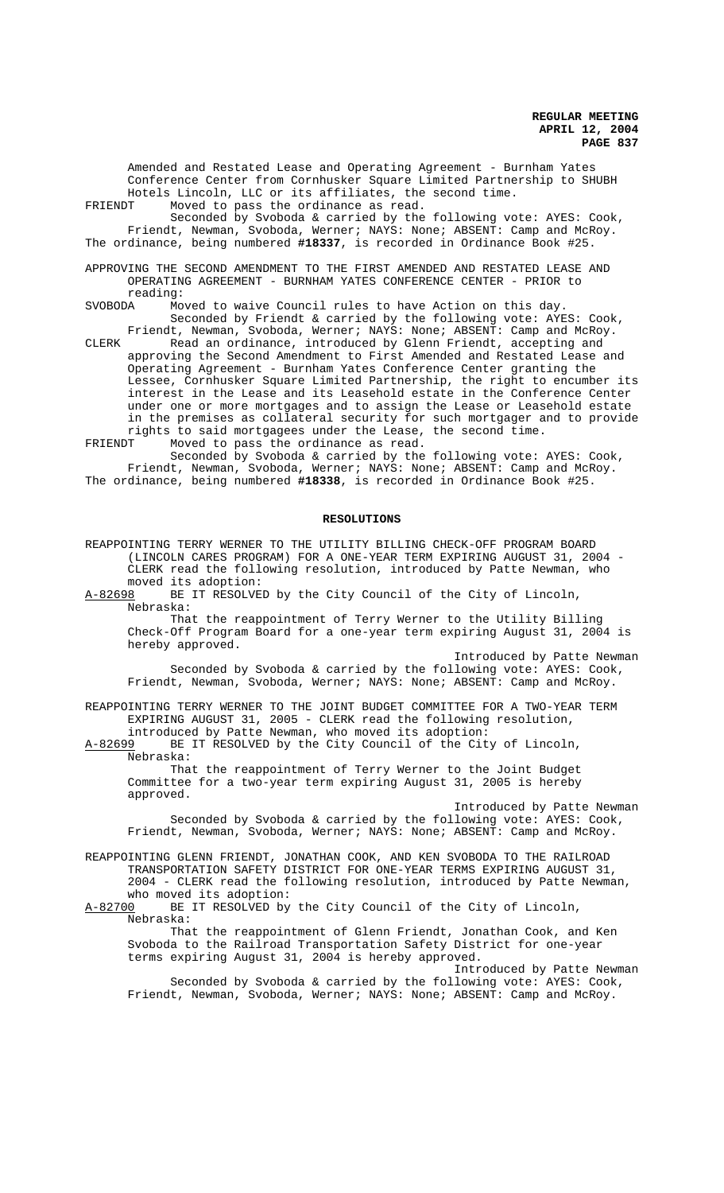Amended and Restated Lease and Operating Agreement - Burnham Yates Conference Center from Cornhusker Square Limited Partnership to SHUBH Hotels Lincoln, LLC or its affiliates, the second time. FRIENDT Moved to pass the ordinance as read.

Seconded by Svoboda & carried by the following vote: AYES: Cook, Friendt, Newman, Svoboda, Werner; NAYS: None; ABSENT: Camp and McRoy. The ordinance, being numbered **#18337**, is recorded in Ordinance Book #25.

APPROVING THE SECOND AMENDMENT TO THE FIRST AMENDED AND RESTATED LEASE AND OPERATING AGREEMENT - BURNHAM YATES CONFERENCE CENTER - PRIOR to reading:<br>SVOBODA Mo

Moved to waive Council rules to have Action on this day. Seconded by Friendt & carried by the following vote: AYES: Cook, Friendt, Newman, Svoboda, Werner; NAYS: None; ABSENT: Camp and McRoy.

CLERK Read an ordinance, introduced by Glenn Friendt, accepting and approving the Second Amendment to First Amended and Restated Lease and Operating Agreement - Burnham Yates Conference Center granting the Lessee, Cornhusker Square Limited Partnership, the right to encumber its interest in the Lease and its Leasehold estate in the Conference Center under one or more mortgages and to assign the Lease or Leasehold estate in the premises as collateral security for such mortgager and to provide rights to said mortgagees under the Lease, the second time.

FRIENDT Moved to pass the ordinance as read.

Seconded by Svoboda & carried by the following vote: AYES: Cook, Friendt, Newman, Svoboda, Werner; NAYS: None; ABSENT: Camp and McRoy. The ordinance, being numbered **#18338**, is recorded in Ordinance Book #25.

#### **RESOLUTIONS**

REAPPOINTING TERRY WERNER TO THE UTILITY BILLING CHECK-OFF PROGRAM BOARD (LINCOLN CARES PROGRAM) FOR A ONE-YEAR TERM EXPIRING AUGUST 31, 2004 - CLERK read the following resolution, introduced by Patte Newman, who moved its adoption:<br>A-82698 BE IT RESOLVE BE IT RESOLVED by the City Council of the City of Lincoln,

Nebraska:

That the reappointment of Terry Werner to the Utility Billing Check-Off Program Board for a one-year term expiring August 31, 2004 is hereby approved.

Introduced by Patte Newman Seconded by Svoboda & carried by the following vote: AYES: Cook, Friendt, Newman, Svoboda, Werner; NAYS: None; ABSENT: Camp and McRoy.

REAPPOINTING TERRY WERNER TO THE JOINT BUDGET COMMITTEE FOR A TWO-YEAR TERM EXPIRING AUGUST 31, 2005 - CLERK read the following resolution, introduced by Patte Newman, who moved its adoption:

A-82699 BE IT RESOLVED by the City Council of the City of Lincoln, Nebraska:

That the reappointment of Terry Werner to the Joint Budget Committee for a two-year term expiring August 31, 2005 is hereby approved.

Introduced by Patte Newman Seconded by Svoboda & carried by the following vote: AYES: Cook, Friendt, Newman, Svoboda, Werner; NAYS: None; ABSENT: Camp and McRoy.

REAPPOINTING GLENN FRIENDT, JONATHAN COOK, AND KEN SVOBODA TO THE RAILROAD TRANSPORTATION SAFETY DISTRICT FOR ONE-YEAR TERMS EXPIRING AUGUST 31, 2004 - CLERK read the following resolution, introduced by Patte Newman, who moved its adoption:<br>A-82700 BE IT RESOLVED by

BE IT RESOLVED by the City Council of the City of Lincoln, Nebraska:

That the reappointment of Glenn Friendt, Jonathan Cook, and Ken Svoboda to the Railroad Transportation Safety District for one-year terms expiring August 31, 2004 is hereby approved.

Introduced by Patte Newman Seconded by Svoboda & carried by the following vote: AYES: Cook, Friendt, Newman, Svoboda, Werner; NAYS: None; ABSENT: Camp and McRoy.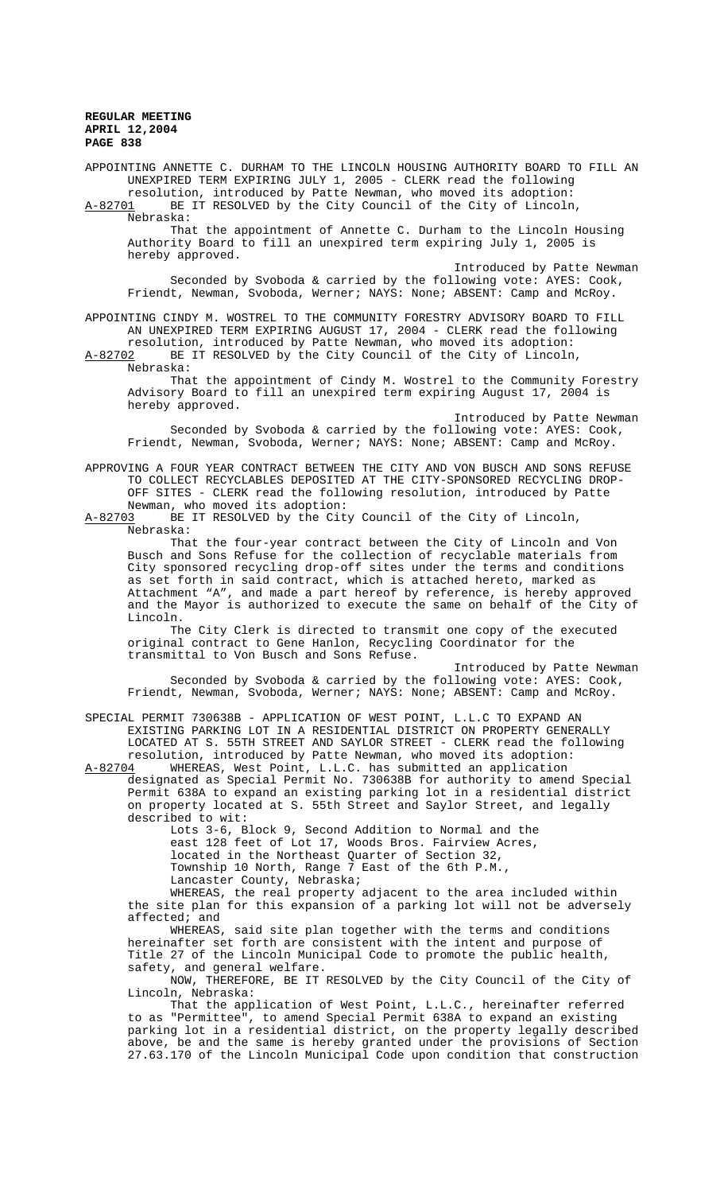APPOINTING ANNETTE C. DURHAM TO THE LINCOLN HOUSING AUTHORITY BOARD TO FILL AN UNEXPIRED TERM EXPIRING JULY 1, 2005 - CLERK read the following resolution, introduced by Patte Newman, who moved its adoption: A-82701 BE IT RESOLVED by the City Council of the City of Lincoln,

Nebraska:

That the appointment of Annette C. Durham to the Lincoln Housing Authority Board to fill an unexpired term expiring July 1, 2005 is hereby approved.

Introduced by Patte Newman Seconded by Svoboda & carried by the following vote: AYES: Cook, Friendt, Newman, Svoboda, Werner; NAYS: None; ABSENT: Camp and McRoy.

APPOINTING CINDY M. WOSTREL TO THE COMMUNITY FORESTRY ADVISORY BOARD TO FILL AN UNEXPIRED TERM EXPIRING AUGUST 17, 2004 - CLERK read the following resolution, introduced by Patte Newman, who moved its adoption:

A-82702 BE IT RESOLVED by the City Council of the City of Lincoln, Nebraska:

That the appointment of Cindy M. Wostrel to the Community Forestry Advisory Board to fill an unexpired term expiring August 17, 2004 is hereby approved.

Introduced by Patte Newman Seconded by Svoboda & carried by the following vote: AYES: Cook, Friendt, Newman, Svoboda, Werner; NAYS: None; ABSENT: Camp and McRoy.

APPROVING A FOUR YEAR CONTRACT BETWEEN THE CITY AND VON BUSCH AND SONS REFUSE TO COLLECT RECYCLABLES DEPOSITED AT THE CITY-SPONSORED RECYCLING DROP-OFF SITES - CLERK read the following resolution, introduced by Patte

Newman, who moved its adoption:<br>A-82703 BE IT RESOLVED by the Cit BE IT RESOLVED by the City Council of the City of Lincoln, Nebraska:

That the four-year contract between the City of Lincoln and Von Busch and Sons Refuse for the collection of recyclable materials from City sponsored recycling drop-off sites under the terms and conditions as set forth in said contract, which is attached hereto, marked as Attachment "A", and made a part hereof by reference, is hereby approved and the Mayor is authorized to execute the same on behalf of the City of Lincoln.

The City Clerk is directed to transmit one copy of the executed original contract to Gene Hanlon, Recycling Coordinator for the transmittal to Von Busch and Sons Refuse.

Introduced by Patte Newman Seconded by Svoboda & carried by the following vote: AYES: Cook, Friendt, Newman, Svoboda, Werner; NAYS: None; ABSENT: Camp and McRoy.

SPECIAL PERMIT 730638B - APPLICATION OF WEST POINT, L.L.C TO EXPAND AN EXISTING PARKING LOT IN A RESIDENTIAL DISTRICT ON PROPERTY GENERALLY LOCATED AT S. 55TH STREET AND SAYLOR STREET - CLERK read the following resolution, introduced by Patte Newman, who moved its adoption:<br>A-82704 WHEREAS, West Point, L.L.C. has submitted an application

WHEREAS, West Point, L.L.C. has submitted an application designated as Special Permit No. 730638B for authority to amend Special Permit 638A to expand an existing parking lot in a residential district on property located at S. 55th Street and Saylor Street, and legally described to wit:

Lots 3-6, Block 9, Second Addition to Normal and the east 128 feet of Lot 17, Woods Bros. Fairview Acres, located in the Northeast Quarter of Section 32, Township 10 North, Range 7 East of the 6th P.M., Lancaster County, Nebraska;

WHEREAS, the real property adjacent to the area included within the site plan for this expansion of a parking lot will not be adversely affected; and

WHEREAS, said site plan together with the terms and conditions hereinafter set forth are consistent with the intent and purpose of Title 27 of the Lincoln Municipal Code to promote the public health, safety, and general welfare.

NOW, THEREFORE, BE IT RESOLVED by the City Council of the City of Lincoln, Nebraska:

That the application of West Point, L.L.C., hereinafter referred to as "Permittee", to amend Special Permit 638A to expand an existing parking lot in a residential district, on the property legally described above, be and the same is hereby granted under the provisions of Section 27.63.170 of the Lincoln Municipal Code upon condition that construction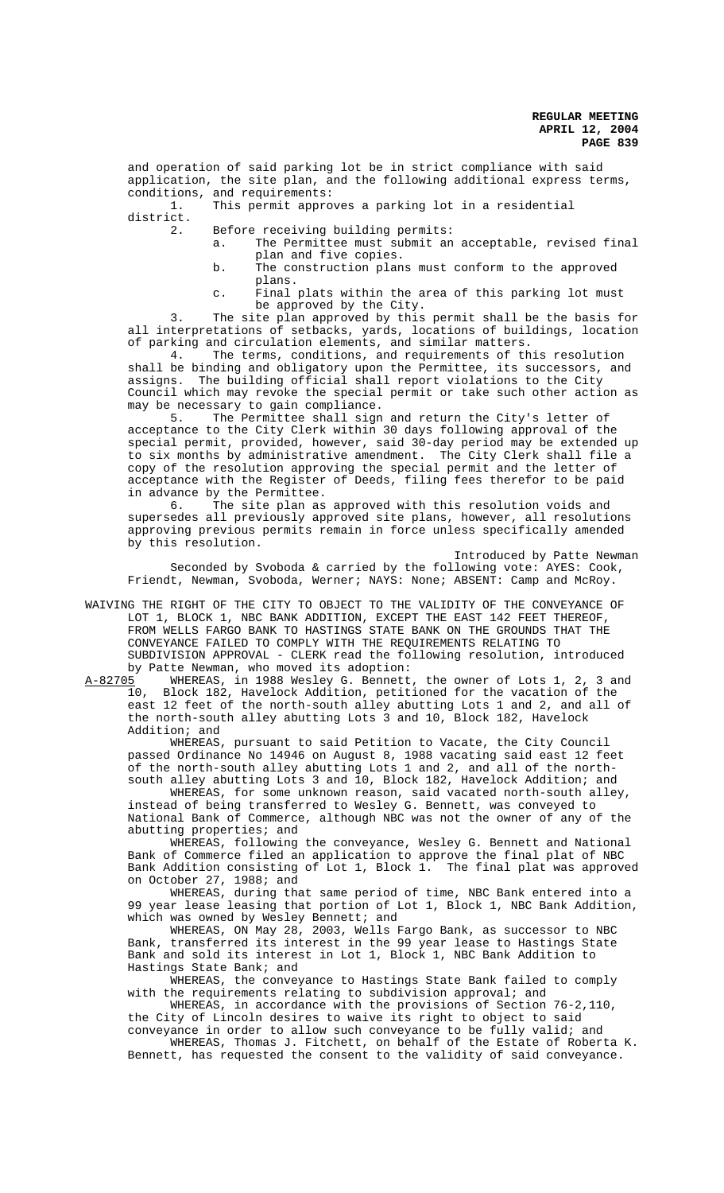and operation of said parking lot be in strict compliance with said application, the site plan, and the following additional express terms, conditions, and requirements:

1. This permit approves a parking lot in a residential district.

2. Before receiving building permits:

- a. The Permittee must submit an acceptable, revised final plan and five copies.
- b. The construction plans must conform to the approved plans.
- c. Final plats within the area of this parking lot must be approved by the City.

The site plan approved by this permit shall be the basis for all interpretations of setbacks, yards, locations of buildings, location of parking and circulation elements, and similar matters.

4. The terms, conditions, and requirements of this resolution shall be binding and obligatory upon the Permittee, its successors, and assigns. The building official shall report violations to the City Council which may revoke the special permit or take such other action as may be necessary to gain compliance.

5. The Permittee shall sign and return the City's letter of acceptance to the City Clerk within 30 days following approval of the special permit, provided, however, said 30-day period may be extended up to six months by administrative amendment. The City Clerk shall file a copy of the resolution approving the special permit and the letter of acceptance with the Register of Deeds, filing fees therefor to be paid in advance by the Permittee.

6. The site plan as approved with this resolution voids and supersedes all previously approved site plans, however, all resolutions approving previous permits remain in force unless specifically amended by this resolution.

Introduced by Patte Newman

Seconded by Svoboda & carried by the following vote: AYES: Cook, Friendt, Newman, Svoboda, Werner; NAYS: None; ABSENT: Camp and McRoy.

WAIVING THE RIGHT OF THE CITY TO OBJECT TO THE VALIDITY OF THE CONVEYANCE OF LOT 1, BLOCK 1, NBC BANK ADDITION, EXCEPT THE EAST 142 FEET THEREOF, FROM WELLS FARGO BANK TO HASTINGS STATE BANK ON THE GROUNDS THAT THE CONVEYANCE FAILED TO COMPLY WITH THE REQUIREMENTS RELATING TO SUBDIVISION APPROVAL - CLERK read the following resolution, introduced

by Patte Newman, who moved its adoption:<br>A-82705 WHEREAS, in 1988 Wesley G. Bennett WHEREAS, in 1988 Wesley G. Bennett, the owner of Lots 1, 2, 3 and 10, Block 182, Havelock Addition, petitioned for the vacation of the east 12 feet of the north-south alley abutting Lots 1 and 2, and all of the north-south alley abutting Lots 3 and 10, Block 182, Havelock Addition; and

WHEREAS, pursuant to said Petition to Vacate, the City Council passed Ordinance No 14946 on August 8, 1988 vacating said east 12 feet of the north-south alley abutting Lots 1 and 2, and all of the northsouth alley abutting Lots 3 and 10, Block 182, Havelock Addition; and

WHEREAS, for some unknown reason, said vacated north-south alley, instead of being transferred to Wesley G. Bennett, was conveyed to National Bank of Commerce, although NBC was not the owner of any of the abutting properties; and

WHEREAS, following the conveyance, Wesley G. Bennett and National Bank of Commerce filed an application to approve the final plat of NBC Bank Addition consisting of Lot 1, Block 1. The final plat was approved on October 27, 1988; and

WHEREAS, during that same period of time, NBC Bank entered into a 99 year lease leasing that portion of Lot 1, Block 1, NBC Bank Addition, which was owned by Wesley Bennett; and

WHEREAS, ON May 28, 2003, Wells Fargo Bank, as successor to NBC Bank, transferred its interest in the 99 year lease to Hastings State Bank and sold its interest in Lot 1, Block 1, NBC Bank Addition to Hastings State Bank; and

WHEREAS, the conveyance to Hastings State Bank failed to comply with the requirements relating to subdivision approval; and

WHEREAS, in accordance with the provisions of Section 76-2,110, the City of Lincoln desires to waive its right to object to said conveyance in order to allow such conveyance to be fully valid; and

WHEREAS, Thomas J. Fitchett, on behalf of the Estate of Roberta K. Bennett, has requested the consent to the validity of said conveyance.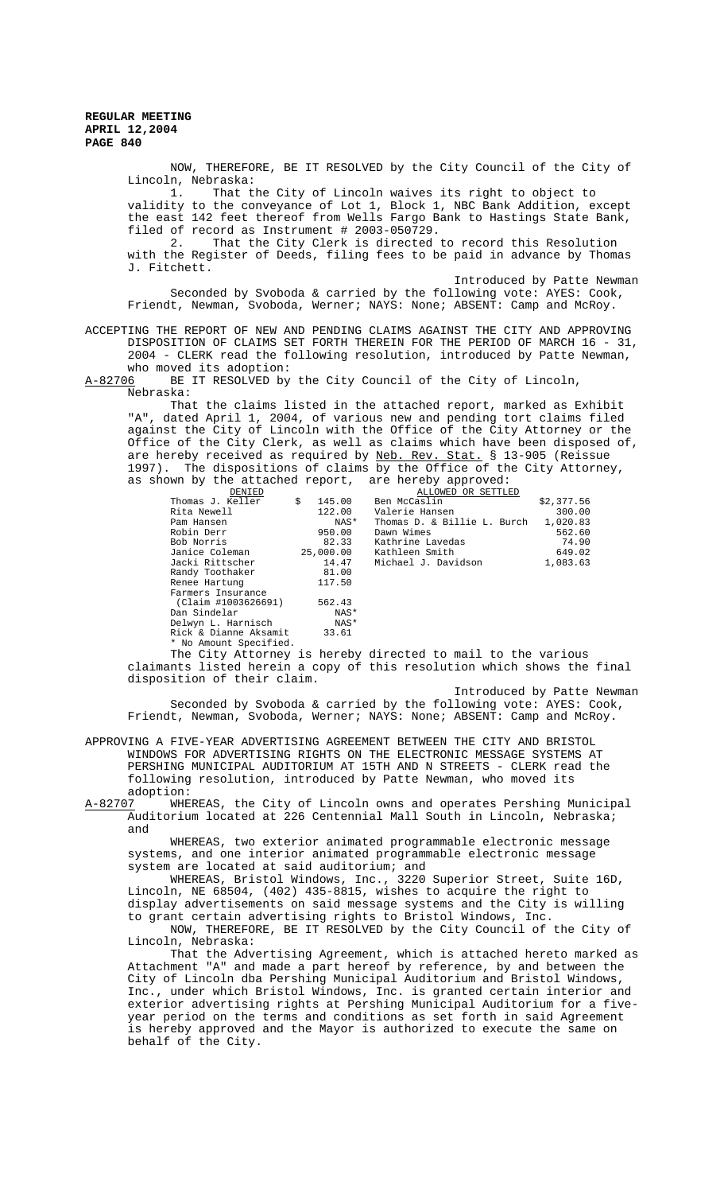> NOW, THEREFORE, BE IT RESOLVED by the City Council of the City of Lincoln, Nebraska: 1. That the City of Lincoln waives its right to object to validity to the conveyance of Lot 1, Block 1, NBC Bank Addition, except the east 142 feet thereof from Wells Fargo Bank to Hastings State Bank, filed of record as Instrument # 2003-050729. 2. That the City Clerk is directed to record this Resolution with the Register of Deeds, filing fees to be paid in advance by Thomas J. Fitchett. Introduced by Patte Newman

Seconded by Svoboda & carried by the following vote: AYES: Cook, Friendt, Newman, Svoboda, Werner; NAYS: None; ABSENT: Camp and McRoy.

ACCEPTING THE REPORT OF NEW AND PENDING CLAIMS AGAINST THE CITY AND APPROVING DISPOSITION OF CLAIMS SET FORTH THEREIN FOR THE PERIOD OF MARCH 16 - 31, 2004 - CLERK read the following resolution, introduced by Patte Newman, who moved its adoption:

A-82706 BE IT RESOLVED by the City Council of the City of Lincoln, Nebraska:

That the claims listed in the attached report, marked as Exhibit "A", dated April 1, 2004, of various new and pending tort claims filed against the City of Lincoln with the Office of the City Attorney or the Office of the City Clerk, as well as claims which have been disposed of, are hereby received as required by Neb. Rev. Stat. § 13-905 (Reissue 1997). The dispositions of claims by the Office of the City Attorney, as shown by the attached report, are hereby approved:

| DENIED                                                                                                          |              |           | ALLOWED OR SETTLED                   |            |
|-----------------------------------------------------------------------------------------------------------------|--------------|-----------|--------------------------------------|------------|
| Thomas J. Keller                                                                                                | $\mathsf{S}$ | 145.00    | Ben McCaslin                         | \$2,377.56 |
| Rita Newell                                                                                                     |              | 122.00    | Valerie Hansen                       | 300.00     |
| Pam Hansen                                                                                                      |              | NAS*      | Thomas D. & Billie L. Burch 1,020.83 |            |
| Robin Derr                                                                                                      |              | 950.00    | Dawn Wimes                           | 562.60     |
| Bob Norris                                                                                                      |              | 82.33     | Kathrine Lavedas                     | 74.90      |
| Janice Coleman                                                                                                  |              | 25,000.00 | Kathleen Smith                       | 649.02     |
| Jacki Rittscher                                                                                                 |              | 14.47     | Michael J. Davidson                  | 1,083.63   |
| Randy Toothaker                                                                                                 |              | 81.00     |                                      |            |
| Renee Hartung                                                                                                   |              | 117.50    |                                      |            |
| Farmers Insurance                                                                                               |              |           |                                      |            |
| (Claim #1003626691)                                                                                             |              | 562.43    |                                      |            |
| Dan Sindelar                                                                                                    |              | NAS*      |                                      |            |
| Delwyn L. Harnisch                                                                                              |              | NAS*      |                                      |            |
| Rick & Dianne Aksamit 33.61                                                                                     |              |           |                                      |            |
| * No Amount Specified.                                                                                          |              |           |                                      |            |
| the contract of the contract of the contract of the contract of the contract of the contract of the contract of |              |           |                                      |            |

The City Attorney is hereby directed to mail to the various claimants listed herein a copy of this resolution which shows the final disposition of their claim.

Introduced by Patte Newman

Seconded by Svoboda & carried by the following vote: AYES: Cook, Friendt, Newman, Svoboda, Werner; NAYS: None; ABSENT: Camp and McRoy.

APPROVING A FIVE-YEAR ADVERTISING AGREEMENT BETWEEN THE CITY AND BRISTOL WINDOWS FOR ADVERTISING RIGHTS ON THE ELECTRONIC MESSAGE SYSTEMS AT PERSHING MUNICIPAL AUDITORIUM AT 15TH AND N STREETS - CLERK read the following resolution, introduced by Patte Newman, who moved its

adoption:<br>A-82707 WHE A-82707 WHEREAS, the City of Lincoln owns and operates Pershing Municipal Auditorium located at 226 Centennial Mall South in Lincoln, Nebraska; and

WHEREAS, two exterior animated programmable electronic message systems, and one interior animated programmable electronic message system are located at said auditorium; and

WHEREAS, Bristol Windows, Inc., 3220 Superior Street, Suite 16D, Lincoln, NE 68504, (402) 435-8815, wishes to acquire the right to display advertisements on said message systems and the City is willing to grant certain advertising rights to Bristol Windows, Inc. NOW, THEREFORE, BE IT RESOLVED by the City Council of the City of Lincoln, Nebraska:

That the Advertising Agreement, which is attached hereto marked as Attachment "A" and made a part hereof by reference, by and between the City of Lincoln dba Pershing Municipal Auditorium and Bristol Windows, Inc., under which Bristol Windows, Inc. is granted certain interior and exterior advertising rights at Pershing Municipal Auditorium for a fiveyear period on the terms and conditions as set forth in said Agreement is hereby approved and the Mayor is authorized to execute the same on behalf of the City.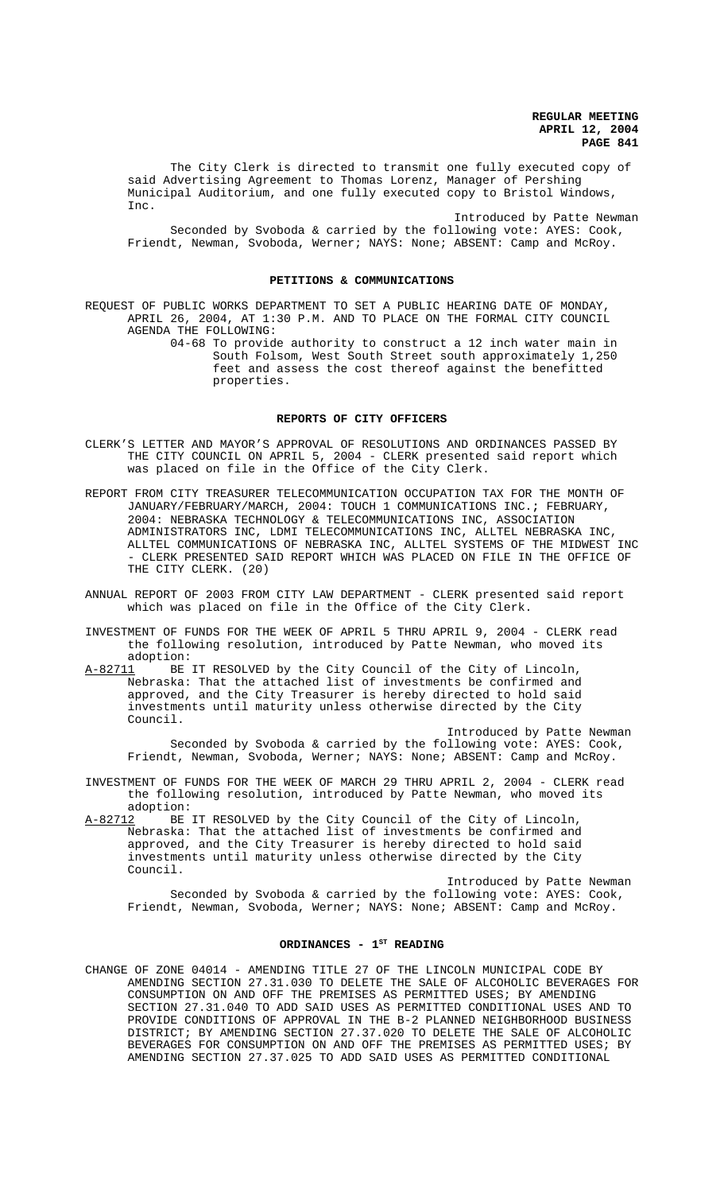The City Clerk is directed to transmit one fully executed copy of said Advertising Agreement to Thomas Lorenz, Manager of Pershing Municipal Auditorium, and one fully executed copy to Bristol Windows, Inc.

Introduced by Patte Newman Seconded by Svoboda & carried by the following vote: AYES: Cook, Friendt, Newman, Svoboda, Werner; NAYS: None; ABSENT: Camp and McRoy.

## **PETITIONS & COMMUNICATIONS**

REQUEST OF PUBLIC WORKS DEPARTMENT TO SET A PUBLIC HEARING DATE OF MONDAY, APRIL 26, 2004, AT 1:30 P.M. AND TO PLACE ON THE FORMAL CITY COUNCIL AGENDA THE FOLLOWING:

> 04-68 To provide authority to construct a 12 inch water main in South Folsom, West South Street south approximately 1,250 feet and assess the cost thereof against the benefitted properties.

## **REPORTS OF CITY OFFICERS**

- CLERK'S LETTER AND MAYOR'S APPROVAL OF RESOLUTIONS AND ORDINANCES PASSED BY THE CITY COUNCIL ON APRIL 5, 2004 - CLERK presented said report which was placed on file in the Office of the City Clerk.
- REPORT FROM CITY TREASURER TELECOMMUNICATION OCCUPATION TAX FOR THE MONTH OF JANUARY/FEBRUARY/MARCH, 2004: TOUCH 1 COMMUNICATIONS INC.**;** FEBRUARY, 2004: NEBRASKA TECHNOLOGY & TELECOMMUNICATIONS INC, ASSOCIATION ADMINISTRATORS INC, LDMI TELECOMMUNICATIONS INC, ALLTEL NEBRASKA INC, ALLTEL COMMUNICATIONS OF NEBRASKA INC, ALLTEL SYSTEMS OF THE MIDWEST INC - CLERK PRESENTED SAID REPORT WHICH WAS PLACED ON FILE IN THE OFFICE OF THE CITY CLERK. (20)
- ANNUAL REPORT OF 2003 FROM CITY LAW DEPARTMENT CLERK presented said report which was placed on file in the Office of the City Clerk.
- INVESTMENT OF FUNDS FOR THE WEEK OF APRIL 5 THRU APRIL 9, 2004 CLERK read the following resolution, introduced by Patte Newman, who moved its adoption:
- A-82711 BE IT RESOLVED by the City Council of the City of Lincoln, Nebraska: That the attached list of investments be confirmed and approved, and the City Treasurer is hereby directed to hold said investments until maturity unless otherwise directed by the City Council.

Introduced by Patte Newman Seconded by Svoboda & carried by the following vote: AYES: Cook, Friendt, Newman, Svoboda, Werner; NAYS: None; ABSENT: Camp and McRoy.

- INVESTMENT OF FUNDS FOR THE WEEK OF MARCH 29 THRU APRIL 2, 2004 CLERK read the following resolution, introduced by Patte Newman, who moved its adoption:
- A-82712 BE IT RESOLVED by the City Council of the City of Lincoln, Nebraska: That the attached list of investments be confirmed and approved, and the City Treasurer is hereby directed to hold said investments until maturity unless otherwise directed by the City Council.

Introduced by Patte Newman Seconded by Svoboda & carried by the following vote: AYES: Cook, Friendt, Newman, Svoboda, Werner; NAYS: None; ABSENT: Camp and McRoy.

## ORDINANCES - 1<sup>st</sup> READING

CHANGE OF ZONE 04014 - AMENDING TITLE 27 OF THE LINCOLN MUNICIPAL CODE BY AMENDING SECTION 27.31.030 TO DELETE THE SALE OF ALCOHOLIC BEVERAGES FOR CONSUMPTION ON AND OFF THE PREMISES AS PERMITTED USES; BY AMENDING SECTION 27.31.040 TO ADD SAID USES AS PERMITTED CONDITIONAL USES AND TO PROVIDE CONDITIONS OF APPROVAL IN THE B-2 PLANNED NEIGHBORHOOD BUSINESS DISTRICT; BY AMENDING SECTION 27.37.020 TO DELETE THE SALE OF ALCOHOLIC BEVERAGES FOR CONSUMPTION ON AND OFF THE PREMISES AS PERMITTED USES; BY AMENDING SECTION 27.37.025 TO ADD SAID USES AS PERMITTED CONDITIONAL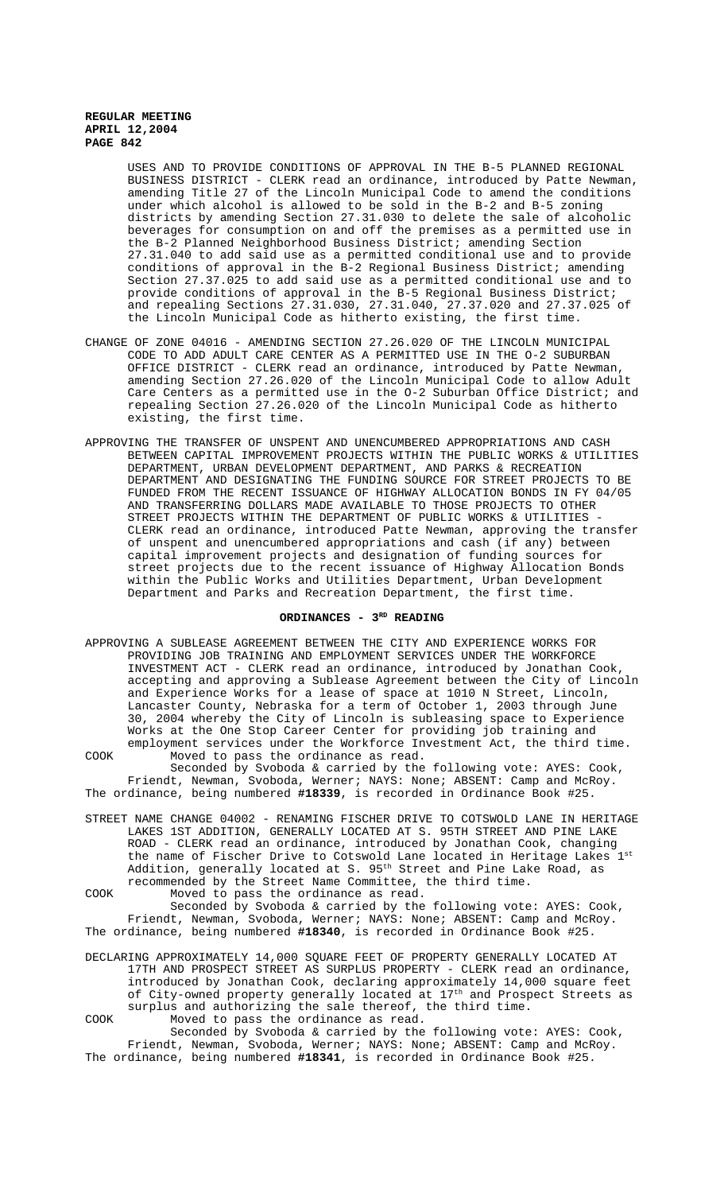USES AND TO PROVIDE CONDITIONS OF APPROVAL IN THE B-5 PLANNED REGIONAL BUSINESS DISTRICT - CLERK read an ordinance, introduced by Patte Newman, amending Title 27 of the Lincoln Municipal Code to amend the conditions under which alcohol is allowed to be sold in the B-2 and B-5 zoning districts by amending Section 27.31.030 to delete the sale of alcoholic beverages for consumption on and off the premises as a permitted use in the B-2 Planned Neighborhood Business District; amending Section 27.31.040 to add said use as a permitted conditional use and to provide conditions of approval in the B-2 Regional Business District; amending Section 27.37.025 to add said use as a permitted conditional use and to provide conditions of approval in the B-5 Regional Business District; and repealing Sections 27.31.030, 27.31.040, 27.37.020 and 27.37.025 of the Lincoln Municipal Code as hitherto existing, the first time.

- CHANGE OF ZONE 04016 AMENDING SECTION 27.26.020 OF THE LINCOLN MUNICIPAL CODE TO ADD ADULT CARE CENTER AS A PERMITTED USE IN THE O-2 SUBURBAN OFFICE DISTRICT - CLERK read an ordinance, introduced by Patte Newman, amending Section 27.26.020 of the Lincoln Municipal Code to allow Adult Care Centers as a permitted use in the O-2 Suburban Office District; and repealing Section 27.26.020 of the Lincoln Municipal Code as hitherto existing, the first time.
- APPROVING THE TRANSFER OF UNSPENT AND UNENCUMBERED APPROPRIATIONS AND CASH BETWEEN CAPITAL IMPROVEMENT PROJECTS WITHIN THE PUBLIC WORKS & UTILITIES DEPARTMENT, URBAN DEVELOPMENT DEPARTMENT, AND PARKS & RECREATION DEPARTMENT AND DESIGNATING THE FUNDING SOURCE FOR STREET PROJECTS TO BE FUNDED FROM THE RECENT ISSUANCE OF HIGHWAY ALLOCATION BONDS IN FY 04/05 AND TRANSFERRING DOLLARS MADE AVAILABLE TO THOSE PROJECTS TO OTHER STREET PROJECTS WITHIN THE DEPARTMENT OF PUBLIC WORKS & UTILITIES - CLERK read an ordinance, introduced Patte Newman, approving the transfer of unspent and unencumbered appropriations and cash (if any) between capital improvement projects and designation of funding sources for street projects due to the recent issuance of Highway Allocation Bonds within the Public Works and Utilities Department, Urban Development Department and Parks and Recreation Department, the first time.

# ORDINANCES - 3<sup>RD</sup> READING

APPROVING A SUBLEASE AGREEMENT BETWEEN THE CITY AND EXPERIENCE WORKS FOR PROVIDING JOB TRAINING AND EMPLOYMENT SERVICES UNDER THE WORKFORCE INVESTMENT ACT - CLERK read an ordinance, introduced by Jonathan Cook, accepting and approving a Sublease Agreement between the City of Lincoln and Experience Works for a lease of space at 1010 N Street, Lincoln, Lancaster County, Nebraska for a term of October 1, 2003 through June 30, 2004 whereby the City of Lincoln is subleasing space to Experience Works at the One Stop Career Center for providing job training and employment services under the Workforce Investment Act, the third time. COOK Moved to pass the ordinance as read.

Seconded by Svoboda & carried by the following vote: AYES: Cook, Friendt, Newman, Svoboda, Werner; NAYS: None; ABSENT: Camp and McRoy. The ordinance, being numbered **#18339**, is recorded in Ordinance Book #25.

STREET NAME CHANGE 04002 - RENAMING FISCHER DRIVE TO COTSWOLD LANE IN HERITAGE LAKES 1ST ADDITION, GENERALLY LOCATED AT S. 95TH STREET AND PINE LAKE ROAD - CLERK read an ordinance, introduced by Jonathan Cook, changing the name of Fischer Drive to Cotswold Lane located in Heritage Lakes 1st Addition, generally located at S. 95<sup>th</sup> Street and Pine Lake Road, as recommended by the Street Name Committee, the third time.

COOK Moved to pass the ordinance as read. Seconded by Svoboda & carried by the following vote: AYES: Cook, Friendt, Newman, Svoboda, Werner; NAYS: None; ABSENT: Camp and McRoy. The ordinance, being numbered **#18340**, is recorded in Ordinance Book #25.

DECLARING APPROXIMATELY 14,000 SQUARE FEET OF PROPERTY GENERALLY LOCATED AT 17TH AND PROSPECT STREET AS SURPLUS PROPERTY - CLERK read an ordinance, introduced by Jonathan Cook, declaring approximately 14,000 square feet of City-owned property generally located at  $17^{\rm th}$  and Prospect Streets as surplus and authorizing the sale thereof, the third time. COOK Moved to pass the ordinance as read.

Seconded by Svoboda & carried by the following vote: AYES: Cook, Friendt, Newman, Svoboda, Werner; NAYS: None; ABSENT: Camp and McRoy. The ordinance, being numbered **#18341**, is recorded in Ordinance Book #25.